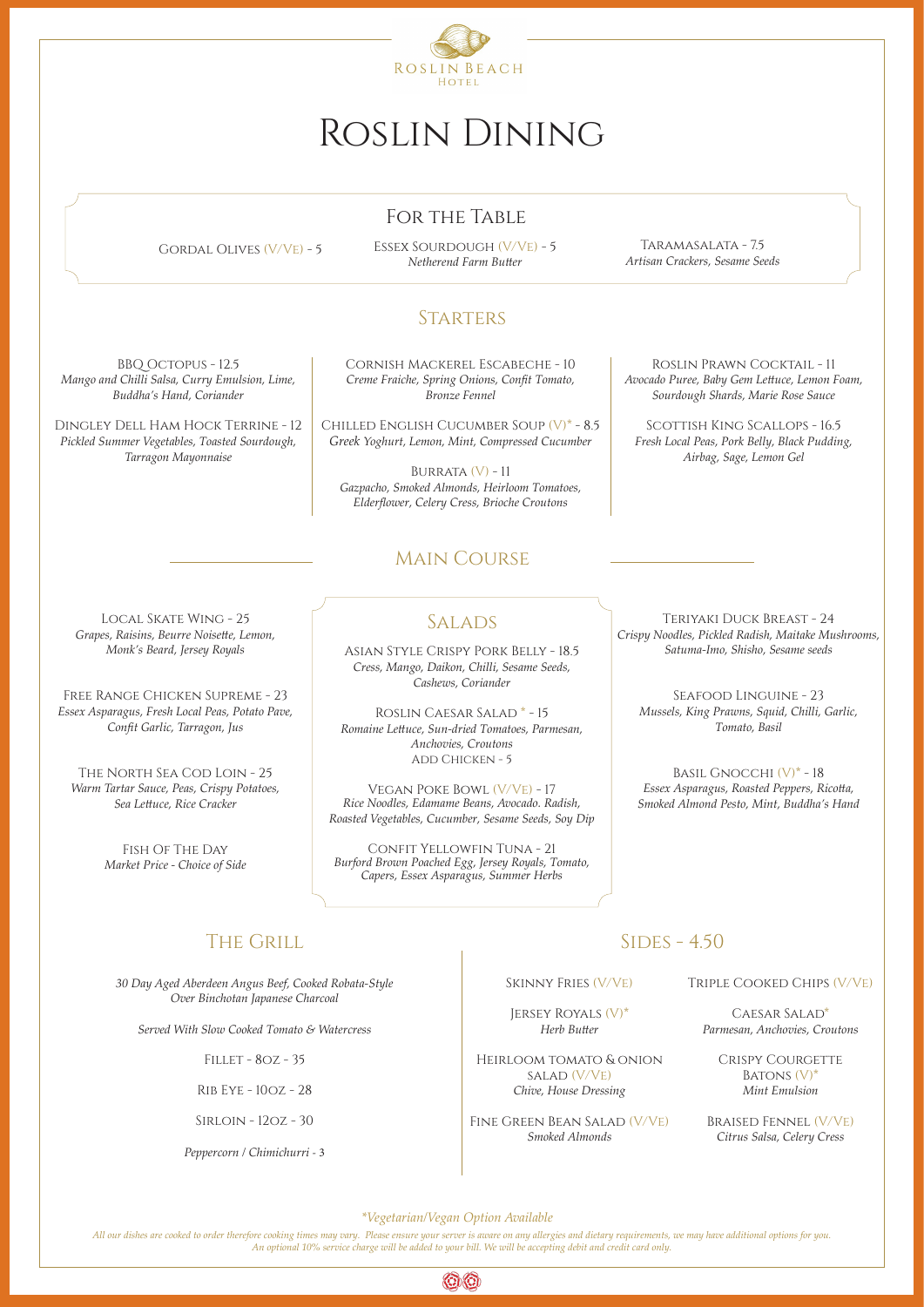# The Grill

## Main Course

*30 Day Aged Aberdeen Angus Beef, Cooked Robata-Style*

 $SIDES - 4.50$ 

*Over Binchotan Japanese Charcoal*

*Served With Slow Cooked Tomato & Watercress*

Fillet - 8oz - 35

Rib Eye - 10oz - 28

Sirloin - 12oz - 30

*Peppercorn / Chimichurri* - 3



# Roslin Dining

*All our dishes are cooked to order therefore cooking times may vary. Please ensure your server is aware on any allergies and dietary requirements, we may have additional options for you. An optional 10% service charge will be added to your bill. We will be accepting debit and credit card only.*



BURRATA  $(V)$  - 11 *Gazpacho, Smoked Almonds, Heirloom Tomatoes, Elderflower, Celery Cress, Brioche Croutons*

*\*Vegetarian/Vegan Option Available*

BBQ Octopus - 12.5 *Mango and Chilli Salsa, Curry Emulsion, Lime, Buddha's Hand, Coriander*

> Roslin Caesar Salad \* - 15 *Romaine Lettuce, Sun-dried Tomatoes, Parmesan, Anchovies, Croutons* ADD CHICKEN - 5

Dingley Dell Ham Hock Terrine - 12 *Pickled Summer Vegetables, Toasted Sourdough, Tarragon Mayonnaise*

Cornish Mackerel Escabeche - 10 *Creme Fraiche, Spring Onions, Confit Tomato, Bronze Fennel*

Chilled English Cucumber Soup (V)\* - 8.5 *Greek Yoghurt, Lemon, Mint, Compressed Cucumber*

Roslin Prawn Cocktail - 11 *Avocado Puree, Baby Gem Lettuce, Lemon Foam, Sourdough Shards, Marie Rose Sauce*

Scottish King Scallops - 16.5 *Fresh Local Peas, Pork Belly, Black Pudding, Airbag, Sage, Lemon Gel*

Asian Style Crispy Pork Belly - 18.5 *Cress, Mango, Daikon, Chilli, Sesame Seeds, Cashews, Coriander*

GORDAL OLIVES (V/VE) - 5 ESSEX SOURDOUGH (V/VE) - 5 *Netherend Farm Butter*

> Vegan Poke Bowl (V/Ve) - 17 *Rice Noodles, Edamame Beans, Avocado. Radish, Roasted Vegetables, Cucumber, Sesame Seeds, Soy Dip*

Confit Yellowfin Tuna - 21 *Burford Brown Poached Egg, Jersey Royals, Tomato, Capers, Essex Asparagus, Summer Herbs*

Local Skate Wing - 25 *Grapes, Raisins, Beurre Noisette, Lemon, Monk's Beard, Jersey Royals*

Free Range Chicken Supreme - 23 *Essex Asparagus, Fresh Local Peas, Potato Pave, Confit Garlic, Tarragon, Jus*

The North Sea Cod Loin - 25 *Warm Tartar Sauce, Peas, Crispy Potatoes, Sea Lettuce, Rice Cracker*

> Fish Of The Day *Market Price - Choice of Side*

**SALADS** 

Triple Cooked Chips (V/Ve)

Caesar Salad\* *Parmesan, Anchovies, Croutons*

> Crispy Courgette BATONS  $(V)^*$ *Mint Emulsion*

Braised Fennel (V/Ve) *Citrus Salsa, Celery Cress*

Skinny Fries (V/Ve)

Jersey Royals (V)\* *Herb Butter*

Heirloom tomato & onion salad (V/Ve) *Chive, House Dressing*

Fine Green Bean Salad (V/Ve) *Smoked Almonds*

Teriyaki Duck Breast - 24 *Crispy Noodles, Pickled Radish, Maitake Mushrooms, Satuma-Imo, Shisho, Sesame seeds*

Seafood Linguine - 23 *Mussels, King Prawns, Squid, Chilli, Garlic, Tomato, Basil*

Basil Gnocchi (V)\* - 18 *Essex Asparagus, Roasted Peppers, Ricotta, Smoked Almond Pesto, Mint, Buddha's Hand*

# For the Table

Taramasalata - 7.5 *Artisan Crackers, Sesame Seeds*

## **STARTERS**